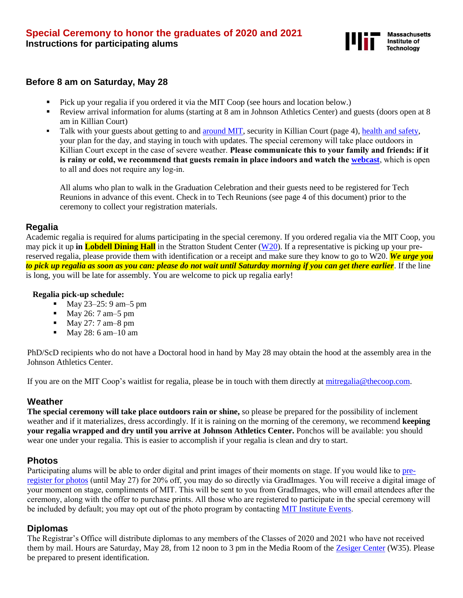

#### **Before 8 am on Saturday, May 28**

- Pick up your regalia if you ordered it via the MIT Coop (see hours and location below.)
- Review arrival information for alums (starting at 8 am in Johnson Athletics Center) and guests (doors open at 8 am in Killian Court)
- **•** Talk with your guests about getting to and [around](http://whereis.mit.edu/) MIT, security in Killian Court (page 4), [health and safety,](https://commencement.mit.edu/special-classes21and20) your plan for the day, and staying in touch with updates. The special ceremony will take place outdoors in Killian Court except in the case of severe weather. **Please communicate this to your family and friends: if it is rainy or cold, we recommend that guests remain in place indoors and watch the [webcast](https://commencement.mit.edu/webcasts)**, which is open to all and does not require any log-in.

All alums who plan to walk in the Graduation Celebration and their guests need to be registered for Tech Reunions in advance of this event. Check in to Tech Reunions (see page 4 of this document) prior to the ceremony to collect your registration materials.

#### **Regalia**

Academic regalia is required for alums participating in the special ceremony. If you ordered regalia via the MIT Coop, you may pick it up **in Lobdell Dining Hall** in the Stratton Student Center [\(W20\)](http://whereis.mit.edu/?go=W20). If a representative is picking up your prereserved regalia, please provide them with identification or a receipt and make sure they know to go to W20. *We urge you to pick up regalia as soon as you can: please do not wait until Saturday morning if you can get there earlier*. If the line is long, you will be late for assembly. You are welcome to pick up regalia early!

#### **Regalia pick-up schedule:**

- May 23–25: 9 am–5 pm
- May 26: 7 am–5 pm
- $\blacksquare$  May 27: 7 am -8 pm
- May 28: 6 am–10 am

PhD/ScD recipients who do not have a Doctoral hood in hand by May 28 may obtain the hood at the assembly area in the Johnson Athletics Center.

If you are on the MIT Coop's waitlist for regalia, please be in touch with them directly at [mitregalia@thecoop.com.](mailto:mitregalia@thecoop.com)

## **Weather**

**The special ceremony will take place outdoors rain or shine,** so please be prepared for the possibility of inclement weather and if it materializes, dress accordingly. If it is raining on the morning of the ceremony, we recommend **keeping your regalia wrapped and dry until you arrive at Johnson Athletics Center.** Ponchos will be available: you should wear one under your regalia. This is easier to accomplish if your regalia is clean and dry to start.

## **Photos**

Participating alums will be able to order digital and print images of their moments on stage. If you would like to [pre](https://www.gradimages.com/registration/Register?ClientID=107449&OccasionRef=175431)[register for photos](https://www.gradimages.com/registration/Register?ClientID=107449&OccasionRef=175431) (until May 27) for 20% off, you may do so directly via GradImages. You will receive a digital image of your moment on stage, compliments of MIT. This will be sent to you from GradImages, who will email attendees after the ceremony, along with the offer to purchase prints. All those who are registered to participate in the special ceremony will be included by default; you may opt out of the photo program by contacting [MIT Institute Events](mailto:commtreply@mit.edu).

## **Diplomas**

The Registrar's Office will distribute diplomas to any members of the Classes of 2020 and 2021 who have not received them by mail. Hours are Saturday, May 28, from 12 noon to 3 pm in the Media Room of the [Zesiger Center](http://whereis.mit.edu/?go=W35) (W35). Please be prepared to present identification.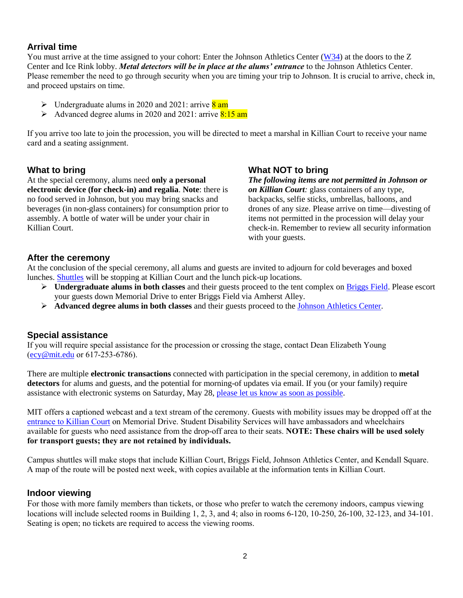## **Arrival time**

You must arrive at the time assigned to your cohort: Enter the Johnson Athletics Center [\(W34\)](http://whereis.mit.edu/?go=W34) at the doors to the Z Center and Ice Rink lobby. *Metal detectors will be in place at the alums' entrance* to the Johnson Athletics Center. Please remember the need to go through security when you are timing your trip to Johnson. It is crucial to arrive, check in, and proceed upstairs on time.

- $\triangleright$  Undergraduate alums in 2020 and 2021: arrive  $\frac{8 \text{ am}}{2}$
- $\triangleright$  Advanced degree alums in 2020 and 2021: arrive 8:15 am

If you arrive too late to join the procession, you will be directed to meet a marshal in Killian Court to receive your name card and a seating assignment.

#### **What to bring**

At the special ceremony, alums need **only a personal electronic device (for check-in) and regalia**. **Note**: there is no food served in Johnson, but you may bring snacks and beverages (in non-glass containers) for consumption prior to assembly. A bottle of water will be under your chair in Killian Court.

## **What NOT to bring**

*The following items are not permitted in Johnson or on Killian Court:* glass containers of any type, backpacks, selfie sticks, umbrellas, balloons, and drones of any size. Please arrive on time—divesting of items not permitted in the procession will delay your check-in. Remember to review all security information with your guests.

## **After the ceremony**

At the conclusion of the special ceremony, all alums and guests are invited to adjourn for cold beverages and boxed lunches. [Shuttles](https://commencement.mit.edu/guests/parking-shuttles-road-closures) will be stopping at Killian Court and the lunch pick-up locations.

- ➢ **Undergraduate alums in both classes** and their guests proceed to the tent complex on [Briggs Field.](https://whereis.mit.edu/?go=G15) Please escort your guests down Memorial Drive to enter Briggs Field via Amherst Alley.
- ➢ **Advanced degree alums in both classes** and their guests proceed to the [Johnson Athletics Center.](http://whereis.mit.edu/?go=W34)

## **Special assistance**

If you will require special assistance for the procession or crossing the stage, contact Dean Elizabeth Young ([ecy@mit.edu](mailto:ecy@mit.edu) or 617-253-6786).

There are multiple **electronic transactions** connected with participation in the special ceremony, in addition to **metal detectors** for alums and guests, and the potential for morning-of updates via email. If you (or your family) require assistance with electronic systems on Saturday, May 28, [please let us know as soon as possible.](mailto:commencement@mit.edu?subject=Special%20assistance%20for%20May%2028%20ceremony)

MIT offers a captioned webcast and a text stream of the ceremony. Guests with mobility issues may be dropped off at the [entrance to Killian Court](http://whereis.mit.edu/?go=G6) on Memorial Drive. Student Disability Services will have ambassadors and wheelchairs available for guests who need assistance from the drop-off area to their seats. **NOTE: These chairs will be used solely for transport guests; they are not retained by individuals.**

Campus shuttles will make stops that include Killian Court, Briggs Field, Johnson Athletics Center, and Kendall Square. A map of the route will be posted next week, with copies available at the information tents in Killian Court.

#### **Indoor viewing**

For those with more family members than tickets, or those who prefer to watch the ceremony indoors, campus viewing locations will include selected rooms in Building 1, 2, 3, and 4; also in rooms 6-120, 10-250, 26-100, 32-123, and 34-101. Seating is open; no tickets are required to access the viewing rooms.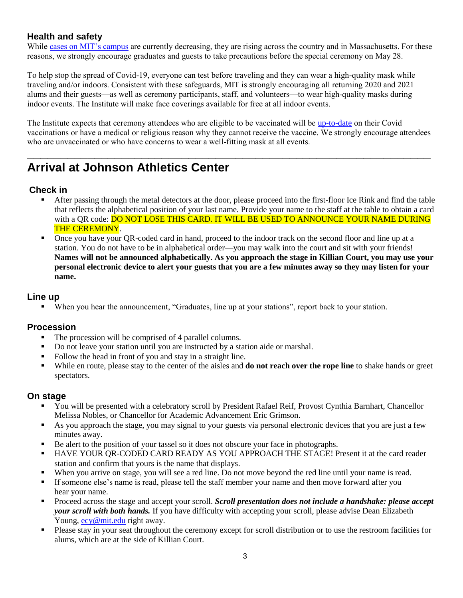## **Health and safety**

While [cases on MIT's campus](https://covidapps.mit.edu/dashboard) are currently decreasing, they are rising across the country and in Massachusetts. For these reasons, we strongly encourage graduates and guests to take precautions before the special ceremony on May 28.

To help stop the spread of Covid-19, everyone can test before traveling and they can wear a high-quality mask while traveling and/or indoors. Consistent with these safeguards, MIT is strongly encouraging all returning 2020 and 2021 alums and their guests—as well as ceremony participants, staff, and volunteers—to wear high-quality masks during indoor events. The Institute will make face coverings available for free at all indoor events.

The Institute expects that ceremony attendees who are eligible to be vaccinated will be [up-to-date](https://www.cdc.gov/coronavirus/2019-ncov/vaccines/stay-up-to-date.html) on their Covid vaccinations or have a medical or religious reason why they cannot receive the vaccine. We strongly encourage attendees who are unvaccinated or who have concerns to wear a well-fitting mask at all events.

**\_\_\_\_\_\_\_\_\_\_\_\_\_\_\_\_\_\_\_\_\_\_\_\_\_\_\_\_\_\_\_\_\_\_\_\_\_\_\_\_\_\_\_\_\_\_\_\_\_\_\_\_\_\_\_\_\_\_\_\_**

## **Arrival at Johnson Athletics Center**

## **Check in**

- After passing through the metal detectors at the door, please proceed into the first-floor Ice Rink and find the table that reflects the alphabetical position of your last name. Provide your name to the staff at the table to obtain a card with a QR code: DO NOT LOSE THIS CARD. IT WILL BE USED TO ANNOUNCE YOUR NAME DURING THE CEREMONY.
- Once you have your QR-coded card in hand, proceed to the indoor track on the second floor and line up at a station. You do not have to be in alphabetical order—you may walk into the court and sit with your friends! **Names will not be announced alphabetically. As you approach the stage in Killian Court, you may use your personal electronic device to alert your guests that you are a few minutes away so they may listen for your name.**

#### **Line up**

When you hear the announcement, "Graduates, line up at your stations", report back to your station.

## **Procession**

- The procession will be comprised of 4 parallel columns.
- Do not leave your station until you are instructed by a station aide or marshal.
- Follow the head in front of you and stay in a straight line.
- While en route, please stay to the center of the aisles and **do not reach over the rope line** to shake hands or greet spectators.

#### **On stage**

- You will be presented with a celebratory scroll by President Rafael Reif, Provost Cynthia Barnhart, Chancellor Melissa Nobles, or Chancellor for Academic Advancement Eric Grimson.
- As you approach the stage, you may signal to your guests via personal electronic devices that you are just a few minutes away.
- Be alert to the position of your tassel so it does not obscure your face in photographs.
- HAVE YOUR OR-CODED CARD READY AS YOU APPROACH THE STAGE! Present it at the card reader station and confirm that yours is the name that displays.
- When you arrive on stage, you will see a red line. Do not move beyond the red line until your name is read.
- If someone else's name is read, please tell the staff member your name and then move forward after you hear your name.
- Proceed across the stage and accept your scroll. *Scroll presentation does not include a handshake: please accept your scroll with both hands.* If you have difficulty with accepting your scroll, please advise Dean Elizabeth Young, [ecy@mit.edu](mailto:ecy@mit.edu) right away.
- Please stay in your seat throughout the ceremony except for scroll distribution or to use the restroom facilities for alums, which are at the side of Killian Court.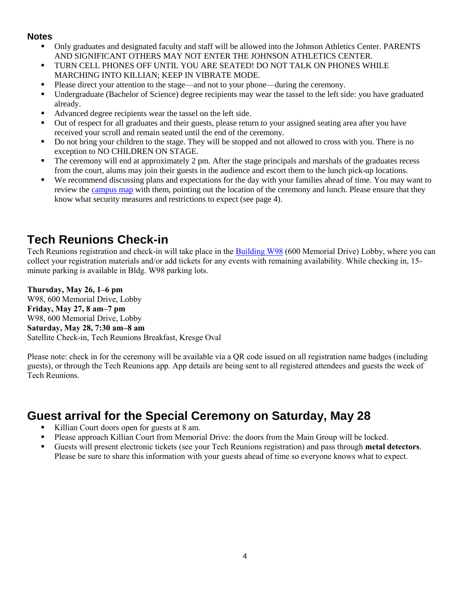#### **Notes**

- Only graduates and designated faculty and staff will be allowed into the Johnson Athletics Center. PARENTS AND SIGNIFICANT OTHERS MAY NOT ENTER THE JOHNSON ATHLETICS CENTER.
- TURN CELL PHONES OFF UNTIL YOU ARE SEATED! DO NOT TALK ON PHONES WHILE MARCHING INTO KILLIAN; KEEP IN VIBRATE MODE.
- Please direct your attention to the stage—and not to your phone—during the ceremony.
- Undergraduate (Bachelor of Science) degree recipients may wear the tassel to the left side: you have graduated already.
- Advanced degree recipients wear the tassel on the left side.
- Out of respect for all graduates and their guests, please return to your assigned seating area after you have received your scroll and remain seated until the end of the ceremony.
- Do not bring your children to the stage. They will be stopped and not allowed to cross with you. There is no exception to NO CHILDREN ON STAGE.
- **•** The ceremony will end at approximately 2 pm. After the stage principals and marshals of the graduates recess from the court, alums may join their guests in the audience and escort them to the lunch pick-up locations.
- We recommend discussing plans and expectations for the day with your families ahead of time. You may want to review the [campus map](http://whereis.mit.edu/) with them, pointing out the location of the ceremony and lunch. Please ensure that they know what security measures and restrictions to expect (see page 4).

## **Tech Reunions Check-in**

Tech Reunions registration and check-in will take place in the [Building](http://whereis.mit.edu/?go=W98) W98 (600 Memorial Drive) Lobby, where you can collect your registration materials and/or add tickets for any events with remaining availability. While checking in, 15 minute parking is available in Bldg. W98 parking lots.

**Thursday, May 26, 1–6 pm** W98, 600 Memorial Drive, Lobby **Friday, May 27, 8 am–7 pm** W98, 600 Memorial Drive, Lobby **Saturday, May 28, 7:30 am–8 am** Satellite Check-in, Tech Reunions Breakfast, Kresge Oval

Please note: check in for the ceremony will be available via a QR code issued on all registration name badges (including guests), or through the Tech Reunions app. App details are being sent to all registered attendees and guests the week of Tech Reunions.

## **Guest arrival for the Special Ceremony on Saturday, May 28**

- Killian Court doors open for guests at 8 am.
- Please approach Killian Court from Memorial Drive: the doors from the Main Group will be locked.
- Guests will present electronic tickets (see your Tech Reunions registration) and pass through **metal detectors**. Please be sure to share this information with your guests ahead of time so everyone knows what to expect.